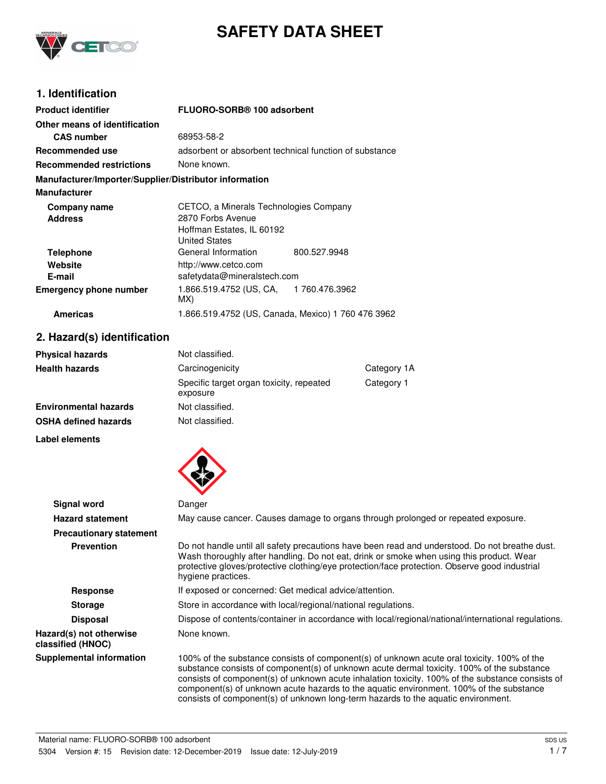

# **SAFETY DATA SHEET**

# **1. Identification**

| <b>Product identifier</b>                              | FLUORO-SORB® 100 adsorbent                             |  |
|--------------------------------------------------------|--------------------------------------------------------|--|
| Other means of identification                          |                                                        |  |
| <b>CAS number</b>                                      | 68953-58-2                                             |  |
| Recommended use                                        | adsorbent or absorbent technical function of substance |  |
| <b>Recommended restrictions</b>                        | None known.                                            |  |
| Manufacturer/Importer/Supplier/Distributor information |                                                        |  |
| <b>Manufacturer</b>                                    |                                                        |  |
| Company name                                           | CETCO, a Minerals Technologies Company                 |  |
| <b>Address</b>                                         | 2870 Forbs Avenue                                      |  |
|                                                        | Hoffman Estates, IL 60192                              |  |
|                                                        | <b>United States</b>                                   |  |
| <b>Telephone</b>                                       | General Information<br>800.527.9948                    |  |
| Website                                                | http://www.cetco.com                                   |  |
| E-mail                                                 | safetydata@mineralstech.com                            |  |
| <b>Emergency phone number</b>                          | 1.866.519.4752 (US, CA, 1760.476.3962<br>MX)           |  |
| <b>Americas</b>                                        | 1.866.519.4752 (US, Canada, Mexico) 1 760 476 3962     |  |

### **2. Hazard(s) identification**

| <b>Physical hazards</b> | Not classified.                                      |             |
|-------------------------|------------------------------------------------------|-------------|
| Health hazards          | Carcinogenicity                                      | Category 1A |
|                         | Specific target organ toxicity, repeated<br>exposure | Category 1  |
| Environmental hazards   | Not classified.                                      |             |
| OSHA defined hazards    | Not classified.                                      |             |
|                         |                                                      |             |

#### **Label elements**



| <b>Signal word</b>                           | Danger                                                                                                                                                                                                                                                                                                                                                                                                                                                                       |  |
|----------------------------------------------|------------------------------------------------------------------------------------------------------------------------------------------------------------------------------------------------------------------------------------------------------------------------------------------------------------------------------------------------------------------------------------------------------------------------------------------------------------------------------|--|
| <b>Hazard statement</b>                      | May cause cancer. Causes damage to organs through prolonged or repeated exposure.                                                                                                                                                                                                                                                                                                                                                                                            |  |
| <b>Precautionary statement</b>               |                                                                                                                                                                                                                                                                                                                                                                                                                                                                              |  |
| <b>Prevention</b>                            | Do not handle until all safety precautions have been read and understood. Do not breathe dust.<br>Wash thoroughly after handling. Do not eat, drink or smoke when using this product. Wear<br>protective gloves/protective clothing/eye protection/face protection. Observe good industrial<br>hygiene practices.                                                                                                                                                            |  |
| <b>Response</b>                              | If exposed or concerned: Get medical advice/attention.                                                                                                                                                                                                                                                                                                                                                                                                                       |  |
| <b>Storage</b>                               | Store in accordance with local/regional/national regulations.                                                                                                                                                                                                                                                                                                                                                                                                                |  |
| <b>Disposal</b>                              | Dispose of contents/container in accordance with local/regional/national/international regulations.                                                                                                                                                                                                                                                                                                                                                                          |  |
| Hazard(s) not otherwise<br>classified (HNOC) | None known.                                                                                                                                                                                                                                                                                                                                                                                                                                                                  |  |
| <b>Supplemental information</b>              | 100% of the substance consists of component(s) of unknown acute oral toxicity. 100% of the<br>substance consists of component(s) of unknown acute dermal toxicity. 100% of the substance<br>consists of component(s) of unknown acute inhalation toxicity. 100% of the substance consists of<br>component(s) of unknown acute hazards to the aquatic environment. 100% of the substance<br>consists of component(s) of unknown long-term hazards to the aquatic environment. |  |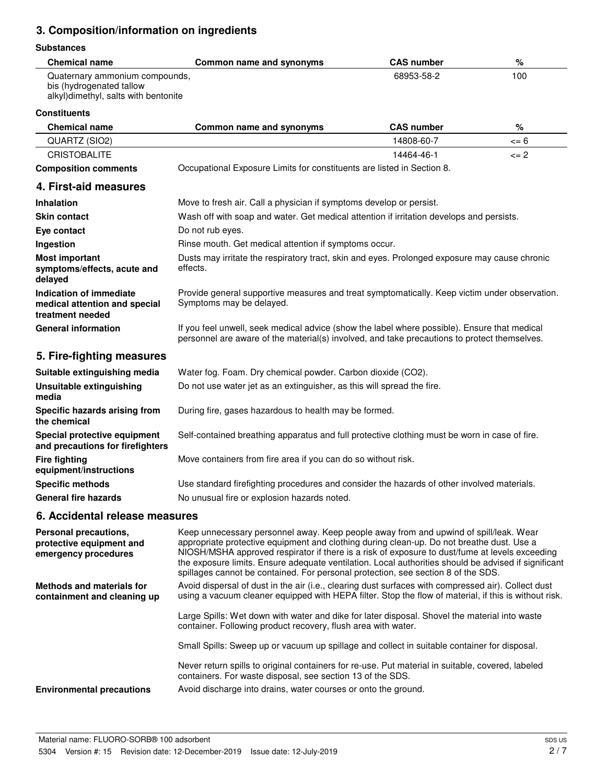# **3. Composition/information on ingredients**

#### **Substances**

| <b>Chemical name</b>                                                                               | Common name and synonyms | <b>CAS number</b> | %   |
|----------------------------------------------------------------------------------------------------|--------------------------|-------------------|-----|
| Quaternary ammonium compounds,<br>bis (hydrogenated tallow<br>alkyl)dimethyl, salts with bentonite |                          | 68953-58-2        | 100 |

#### **Constituents**

| <b>Chemical name</b>                                                         | Common name and synonyms                                                                                                                                                                                                                                                                                                                                                                                                                                                          | <b>CAS number</b> | %          |
|------------------------------------------------------------------------------|-----------------------------------------------------------------------------------------------------------------------------------------------------------------------------------------------------------------------------------------------------------------------------------------------------------------------------------------------------------------------------------------------------------------------------------------------------------------------------------|-------------------|------------|
| QUARTZ (SIO2)                                                                |                                                                                                                                                                                                                                                                                                                                                                                                                                                                                   | 14808-60-7        | $\leq 6$   |
| <b>CRISTOBALITE</b>                                                          |                                                                                                                                                                                                                                                                                                                                                                                                                                                                                   | 14464-46-1        | $\leq$ = 2 |
| <b>Composition comments</b>                                                  | Occupational Exposure Limits for constituents are listed in Section 8.                                                                                                                                                                                                                                                                                                                                                                                                            |                   |            |
| 4. First-aid measures                                                        |                                                                                                                                                                                                                                                                                                                                                                                                                                                                                   |                   |            |
| <b>Inhalation</b>                                                            | Move to fresh air. Call a physician if symptoms develop or persist.                                                                                                                                                                                                                                                                                                                                                                                                               |                   |            |
| <b>Skin contact</b>                                                          | Wash off with soap and water. Get medical attention if irritation develops and persists.                                                                                                                                                                                                                                                                                                                                                                                          |                   |            |
| Eye contact                                                                  | Do not rub eyes.                                                                                                                                                                                                                                                                                                                                                                                                                                                                  |                   |            |
| Ingestion                                                                    | Rinse mouth. Get medical attention if symptoms occur.                                                                                                                                                                                                                                                                                                                                                                                                                             |                   |            |
| <b>Most important</b><br>symptoms/effects, acute and<br>delayed              | Dusts may irritate the respiratory tract, skin and eyes. Prolonged exposure may cause chronic<br>effects.                                                                                                                                                                                                                                                                                                                                                                         |                   |            |
| Indication of immediate<br>medical attention and special<br>treatment needed | Provide general supportive measures and treat symptomatically. Keep victim under observation.<br>Symptoms may be delayed.                                                                                                                                                                                                                                                                                                                                                         |                   |            |
| <b>General information</b>                                                   | If you feel unwell, seek medical advice (show the label where possible). Ensure that medical<br>personnel are aware of the material(s) involved, and take precautions to protect themselves.                                                                                                                                                                                                                                                                                      |                   |            |
| 5. Fire-fighting measures                                                    |                                                                                                                                                                                                                                                                                                                                                                                                                                                                                   |                   |            |
| Suitable extinguishing media                                                 | Water fog. Foam. Dry chemical powder. Carbon dioxide (CO2).                                                                                                                                                                                                                                                                                                                                                                                                                       |                   |            |
| <b>Unsuitable extinguishing</b><br>media                                     | Do not use water jet as an extinguisher, as this will spread the fire.                                                                                                                                                                                                                                                                                                                                                                                                            |                   |            |
| Specific hazards arising from<br>the chemical                                | During fire, gases hazardous to health may be formed.                                                                                                                                                                                                                                                                                                                                                                                                                             |                   |            |
| Special protective equipment<br>and precautions for firefighters             | Self-contained breathing apparatus and full protective clothing must be worn in case of fire.                                                                                                                                                                                                                                                                                                                                                                                     |                   |            |
| <b>Fire fighting</b><br>equipment/instructions                               | Move containers from fire area if you can do so without risk.                                                                                                                                                                                                                                                                                                                                                                                                                     |                   |            |
| <b>Specific methods</b>                                                      | Use standard firefighting procedures and consider the hazards of other involved materials.                                                                                                                                                                                                                                                                                                                                                                                        |                   |            |
| <b>General fire hazards</b>                                                  | No unusual fire or explosion hazards noted.                                                                                                                                                                                                                                                                                                                                                                                                                                       |                   |            |
| 6. Accidental release measures                                               |                                                                                                                                                                                                                                                                                                                                                                                                                                                                                   |                   |            |
| Personal precautions,<br>protective equipment and<br>emergency procedures    | Keep unnecessary personnel away. Keep people away from and upwind of spill/leak. Wear<br>appropriate protective equipment and clothing during clean-up. Do not breathe dust. Use a<br>NIOSH/MSHA approved respirator if there is a risk of exposure to dust/fume at levels exceeding<br>the exposure limits. Ensure adequate ventilation. Local authorities should be advised if significant<br>spillages cannot be contained. For personal protection, see section 8 of the SDS. |                   |            |
| <b>Methods and materials for</b><br>containment and cleaning up              | Avoid dispersal of dust in the air (i.e., clearing dust surfaces with compressed air). Collect dust<br>using a vacuum cleaner equipped with HEPA filter. Stop the flow of material, if this is without risk.                                                                                                                                                                                                                                                                      |                   |            |
|                                                                              | Large Spills: Wet down with water and dike for later disposal. Shovel the material into waste<br>container. Following product recovery, flush area with water.                                                                                                                                                                                                                                                                                                                    |                   |            |
|                                                                              | Small Spills: Sweep up or vacuum up spillage and collect in suitable container for disposal.                                                                                                                                                                                                                                                                                                                                                                                      |                   |            |
|                                                                              |                                                                                                                                                                                                                                                                                                                                                                                                                                                                                   |                   |            |

Never return spills to original containers for re-use. Put material in suitable, covered, labeled containers. For waste disposal, see section 13 of the SDS.

**Environmental precautions** Avoid discharge into drains, water courses or onto the ground.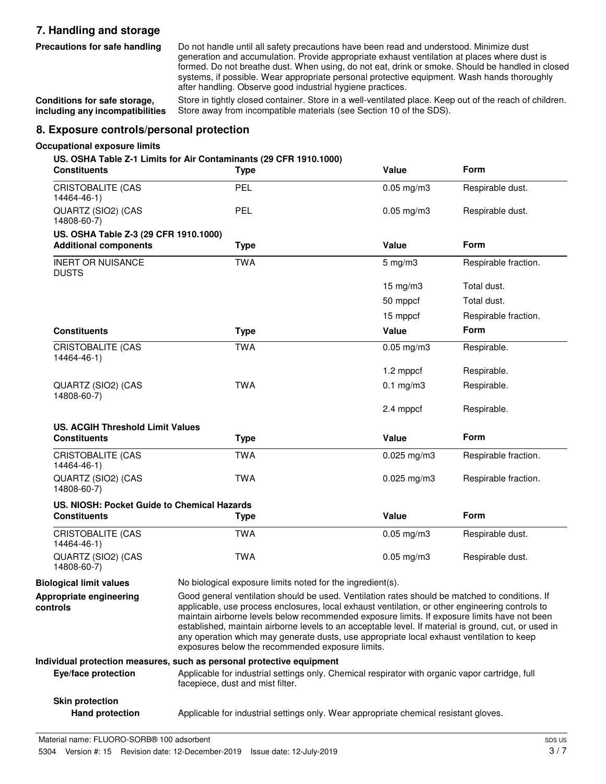# **7. Handling and storage**

**Precautions for safe handling**

Do not handle until all safety precautions have been read and understood. Minimize dust generation and accumulation. Provide appropriate exhaust ventilation at places where dust is formed. Do not breathe dust. When using, do not eat, drink or smoke. Should be handled in closed systems, if possible. Wear appropriate personal protective equipment. Wash hands thoroughly after handling. Observe good industrial hygiene practices.

**Conditions for safe storage, including any incompatibilities** Store in tightly closed container. Store in a well-ventilated place. Keep out of the reach of children. Store away from incompatible materials (see Section 10 of the SDS).

### **8. Exposure controls/personal protection**

#### **Occupational exposure limits**

#### **US. OSHA Table Z-1 Limits for Air Contaminants (29 CFR 1910.1000)**

| <b>Constituents</b>                                                   | <b>Type</b>                                                                                                                         | Value                                                                                                                                                                                                                                                                                                                                                                                                                                                                                                                                                      | Form                 |
|-----------------------------------------------------------------------|-------------------------------------------------------------------------------------------------------------------------------------|------------------------------------------------------------------------------------------------------------------------------------------------------------------------------------------------------------------------------------------------------------------------------------------------------------------------------------------------------------------------------------------------------------------------------------------------------------------------------------------------------------------------------------------------------------|----------------------|
| <b>CRISTOBALITE (CAS</b><br>14464-46-1)                               | PEL                                                                                                                                 | $0.05$ mg/m $3$                                                                                                                                                                                                                                                                                                                                                                                                                                                                                                                                            | Respirable dust.     |
| QUARTZ (SIO2) (CAS<br>14808-60-7)                                     | PEL                                                                                                                                 | $0.05$ mg/m $3$                                                                                                                                                                                                                                                                                                                                                                                                                                                                                                                                            | Respirable dust.     |
| US. OSHA Table Z-3 (29 CFR 1910.1000)<br><b>Additional components</b> | <b>Type</b>                                                                                                                         | <b>Value</b>                                                                                                                                                                                                                                                                                                                                                                                                                                                                                                                                               | Form                 |
| <b>INERT OR NUISANCE</b><br><b>DUSTS</b>                              | <b>TWA</b>                                                                                                                          | $5 \text{ mg/m}$                                                                                                                                                                                                                                                                                                                                                                                                                                                                                                                                           | Respirable fraction. |
|                                                                       |                                                                                                                                     | $15$ mg/m $3$                                                                                                                                                                                                                                                                                                                                                                                                                                                                                                                                              | Total dust.          |
|                                                                       |                                                                                                                                     | 50 mppcf                                                                                                                                                                                                                                                                                                                                                                                                                                                                                                                                                   | Total dust.          |
|                                                                       |                                                                                                                                     | 15 mppcf                                                                                                                                                                                                                                                                                                                                                                                                                                                                                                                                                   | Respirable fraction. |
| <b>Constituents</b>                                                   | <b>Type</b>                                                                                                                         | Value                                                                                                                                                                                                                                                                                                                                                                                                                                                                                                                                                      | <b>Form</b>          |
| <b>CRISTOBALITE (CAS</b><br>14464-46-1)                               | <b>TWA</b>                                                                                                                          | $0.05$ mg/m $3$                                                                                                                                                                                                                                                                                                                                                                                                                                                                                                                                            | Respirable.          |
|                                                                       |                                                                                                                                     | 1.2 mppcf                                                                                                                                                                                                                                                                                                                                                                                                                                                                                                                                                  | Respirable.          |
| QUARTZ (SIO2) (CAS<br>14808-60-7)                                     | <b>TWA</b>                                                                                                                          | $0.1$ mg/m $3$                                                                                                                                                                                                                                                                                                                                                                                                                                                                                                                                             | Respirable.          |
|                                                                       |                                                                                                                                     | 2.4 mppcf                                                                                                                                                                                                                                                                                                                                                                                                                                                                                                                                                  | Respirable.          |
| <b>US. ACGIH Threshold Limit Values</b>                               |                                                                                                                                     |                                                                                                                                                                                                                                                                                                                                                                                                                                                                                                                                                            |                      |
| <b>Constituents</b>                                                   | <b>Type</b>                                                                                                                         | <b>Value</b>                                                                                                                                                                                                                                                                                                                                                                                                                                                                                                                                               | Form                 |
| CRISTOBALITE (CAS<br>14464-46-1)                                      | <b>TWA</b>                                                                                                                          | $0.025$ mg/m3                                                                                                                                                                                                                                                                                                                                                                                                                                                                                                                                              | Respirable fraction. |
| QUARTZ (SIO2) (CAS<br>14808-60-7)                                     | <b>TWA</b>                                                                                                                          | $0.025$ mg/m3                                                                                                                                                                                                                                                                                                                                                                                                                                                                                                                                              | Respirable fraction. |
| US. NIOSH: Pocket Guide to Chemical Hazards                           |                                                                                                                                     |                                                                                                                                                                                                                                                                                                                                                                                                                                                                                                                                                            |                      |
| <b>Constituents</b>                                                   | <b>Type</b>                                                                                                                         | <b>Value</b>                                                                                                                                                                                                                                                                                                                                                                                                                                                                                                                                               | Form                 |
| <b>CRISTOBALITE (CAS</b><br>14464-46-1)                               | <b>TWA</b>                                                                                                                          | $0.05 \,\mathrm{mg/m3}$                                                                                                                                                                                                                                                                                                                                                                                                                                                                                                                                    | Respirable dust.     |
| QUARTZ (SIO2) (CAS<br>14808-60-7)                                     | <b>TWA</b>                                                                                                                          | $0.05 \,\mathrm{mg/m3}$                                                                                                                                                                                                                                                                                                                                                                                                                                                                                                                                    | Respirable dust.     |
| <b>Biological limit values</b>                                        |                                                                                                                                     | No biological exposure limits noted for the ingredient(s).                                                                                                                                                                                                                                                                                                                                                                                                                                                                                                 |                      |
| Appropriate engineering<br>controls                                   |                                                                                                                                     | Good general ventilation should be used. Ventilation rates should be matched to conditions. If<br>applicable, use process enclosures, local exhaust ventilation, or other engineering controls to<br>maintain airborne levels below recommended exposure limits. If exposure limits have not been<br>established, maintain airborne levels to an acceptable level. If material is ground, cut, or used in<br>any operation which may generate dusts, use appropriate local exhaust ventilation to keep<br>exposures below the recommended exposure limits. |                      |
|                                                                       | Individual protection measures, such as personal protective equipment                                                               |                                                                                                                                                                                                                                                                                                                                                                                                                                                                                                                                                            |                      |
| Eye/face protection                                                   | Applicable for industrial settings only. Chemical respirator with organic vapor cartridge, full<br>facepiece, dust and mist filter. |                                                                                                                                                                                                                                                                                                                                                                                                                                                                                                                                                            |                      |
| <b>Skin protection</b>                                                |                                                                                                                                     |                                                                                                                                                                                                                                                                                                                                                                                                                                                                                                                                                            |                      |

**Hand protection** Applicable for industrial settings only. Wear appropriate chemical resistant gloves.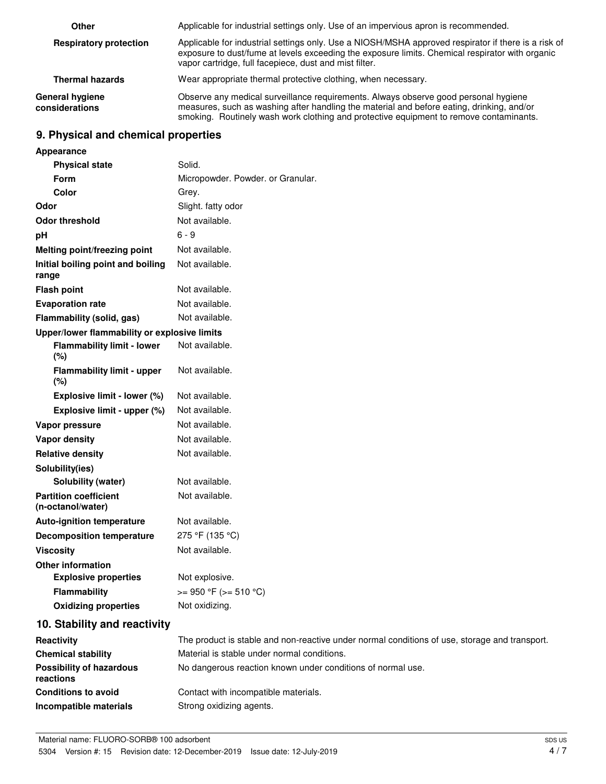| Other                             | Applicable for industrial settings only. Use of an impervious apron is recommended.                                                                                                                                                                                        |
|-----------------------------------|----------------------------------------------------------------------------------------------------------------------------------------------------------------------------------------------------------------------------------------------------------------------------|
| <b>Respiratory protection</b>     | Applicable for industrial settings only. Use a NIOSH/MSHA approved respirator if there is a risk of<br>exposure to dust/fume at levels exceeding the exposure limits. Chemical respirator with organic<br>vapor cartridge, full facepiece, dust and mist filter.           |
| <b>Thermal hazards</b>            | Wear appropriate thermal protective clothing, when necessary.                                                                                                                                                                                                              |
| General hygiene<br>considerations | Observe any medical surveillance requirements. Always observe good personal hygiene<br>measures, such as washing after handling the material and before eating, drinking, and/or<br>smoking. Routinely wash work clothing and protective equipment to remove contaminants. |

# **9. Physical and chemical properties**

| Appearance                                        |                                                                                               |
|---------------------------------------------------|-----------------------------------------------------------------------------------------------|
| <b>Physical state</b>                             | Solid.                                                                                        |
| Form                                              | Micropowder. Powder. or Granular.                                                             |
| Color                                             | Grey.                                                                                         |
| Odor                                              | Slight. fatty odor                                                                            |
| <b>Odor threshold</b>                             | Not available.                                                                                |
| pH                                                | $6 - 9$                                                                                       |
| Melting point/freezing point                      | Not available.                                                                                |
| Initial boiling point and boiling<br>range        | Not available.                                                                                |
| <b>Flash point</b>                                | Not available.                                                                                |
| <b>Evaporation rate</b>                           | Not available.                                                                                |
| Flammability (solid, gas)                         | Not available.                                                                                |
| Upper/lower flammability or explosive limits      |                                                                                               |
| <b>Flammability limit - lower</b><br>(%)          | Not available.                                                                                |
| <b>Flammability limit - upper</b><br>(%)          | Not available.                                                                                |
| Explosive limit - lower (%)                       | Not available.                                                                                |
| Explosive limit - upper (%)                       | Not available.                                                                                |
| Vapor pressure                                    | Not available.                                                                                |
| <b>Vapor density</b>                              | Not available.                                                                                |
| <b>Relative density</b>                           | Not available.                                                                                |
| Solubility(ies)                                   |                                                                                               |
| <b>Solubility (water)</b>                         | Not available.                                                                                |
| <b>Partition coefficient</b><br>(n-octanol/water) | Not available.                                                                                |
| <b>Auto-ignition temperature</b>                  | Not available.                                                                                |
| <b>Decomposition temperature</b>                  | 275 °F (135 °C)                                                                               |
| <b>Viscosity</b>                                  | Not available.                                                                                |
| <b>Other information</b>                          |                                                                                               |
| <b>Explosive properties</b>                       | Not explosive.                                                                                |
| <b>Flammability</b>                               | $>= 950 °F (= 510 °C)$                                                                        |
| <b>Oxidizing properties</b>                       | Not oxidizing.                                                                                |
| 10. Stability and reactivity                      |                                                                                               |
| Reactivity                                        | The product is stable and non-reactive under normal conditions of use, storage and transport. |
| <b>Chemical stability</b>                         | Material is stable under normal conditions.                                                   |
| <b>Possibility of hazardous</b><br>reactions      | No dangerous reaction known under conditions of normal use.                                   |
| <b>Conditions to avoid</b>                        | Contact with incompatible materials.                                                          |
| Incompatible materials                            | Strong oxidizing agents.                                                                      |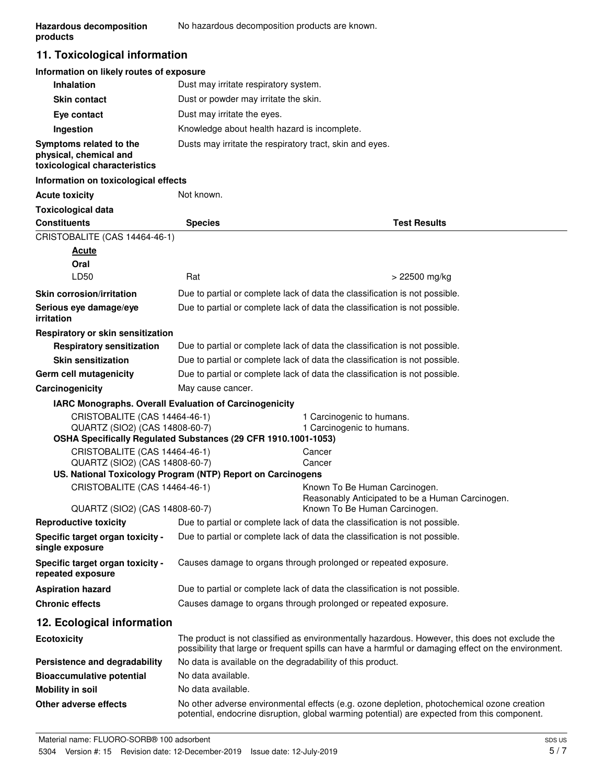### **11. Toxicological information**

### **Information on likely routes of exposure**

| <b>Inhalation</b>                                                                  | Dust may irritate respiratory system.                    |
|------------------------------------------------------------------------------------|----------------------------------------------------------|
| <b>Skin contact</b>                                                                | Dust or powder may irritate the skin.                    |
| Eye contact                                                                        | Dust may irritate the eyes.                              |
| Ingestion                                                                          | Knowledge about health hazard is incomplete.             |
| Symptoms related to the<br>physical, chemical and<br>toxicological characteristics | Dusts may irritate the respiratory tract, skin and eyes. |

#### **Information on toxicological effects**

| <b>Acute toxicity</b>                                  | Not known.                                                                                                                                                                                            |                                                                                                                                                                                            |
|--------------------------------------------------------|-------------------------------------------------------------------------------------------------------------------------------------------------------------------------------------------------------|--------------------------------------------------------------------------------------------------------------------------------------------------------------------------------------------|
| <b>Toxicological data</b>                              |                                                                                                                                                                                                       |                                                                                                                                                                                            |
| <b>Constituents</b>                                    | <b>Species</b>                                                                                                                                                                                        | <b>Test Results</b>                                                                                                                                                                        |
| CRISTOBALITE (CAS 14464-46-1)                          |                                                                                                                                                                                                       |                                                                                                                                                                                            |
| <b>Acute</b>                                           |                                                                                                                                                                                                       |                                                                                                                                                                                            |
| Oral                                                   |                                                                                                                                                                                                       |                                                                                                                                                                                            |
| LD50                                                   | Rat                                                                                                                                                                                                   | > 22500 mg/kg                                                                                                                                                                              |
| <b>Skin corrosion/irritation</b>                       |                                                                                                                                                                                                       | Due to partial or complete lack of data the classification is not possible.                                                                                                                |
| Serious eye damage/eye<br>irritation                   |                                                                                                                                                                                                       | Due to partial or complete lack of data the classification is not possible.                                                                                                                |
| Respiratory or skin sensitization                      |                                                                                                                                                                                                       |                                                                                                                                                                                            |
| <b>Respiratory sensitization</b>                       |                                                                                                                                                                                                       | Due to partial or complete lack of data the classification is not possible.                                                                                                                |
| <b>Skin sensitization</b>                              |                                                                                                                                                                                                       | Due to partial or complete lack of data the classification is not possible.                                                                                                                |
| Germ cell mutagenicity                                 |                                                                                                                                                                                                       | Due to partial or complete lack of data the classification is not possible.                                                                                                                |
| Carcinogenicity                                        | May cause cancer.                                                                                                                                                                                     |                                                                                                                                                                                            |
| IARC Monographs. Overall Evaluation of Carcinogenicity |                                                                                                                                                                                                       |                                                                                                                                                                                            |
| CRISTOBALITE (CAS 14464-46-1)                          |                                                                                                                                                                                                       | 1 Carcinogenic to humans.                                                                                                                                                                  |
| QUARTZ (SIO2) (CAS 14808-60-7)                         | OSHA Specifically Regulated Substances (29 CFR 1910.1001-1053)                                                                                                                                        | 1 Carcinogenic to humans.                                                                                                                                                                  |
| CRISTOBALITE (CAS 14464-46-1)                          |                                                                                                                                                                                                       | Cancer                                                                                                                                                                                     |
| QUARTZ (SIO2) (CAS 14808-60-7)                         |                                                                                                                                                                                                       | Cancer                                                                                                                                                                                     |
|                                                        | US. National Toxicology Program (NTP) Report on Carcinogens                                                                                                                                           |                                                                                                                                                                                            |
| CRISTOBALITE (CAS 14464-46-1)                          |                                                                                                                                                                                                       | Known To Be Human Carcinogen.                                                                                                                                                              |
| QUARTZ (SIO2) (CAS 14808-60-7)                         |                                                                                                                                                                                                       | Reasonably Anticipated to be a Human Carcinogen.<br>Known To Be Human Carcinogen.                                                                                                          |
| <b>Reproductive toxicity</b>                           |                                                                                                                                                                                                       |                                                                                                                                                                                            |
| Specific target organ toxicity -                       | Due to partial or complete lack of data the classification is not possible.<br>Due to partial or complete lack of data the classification is not possible.                                            |                                                                                                                                                                                            |
| single exposure                                        |                                                                                                                                                                                                       |                                                                                                                                                                                            |
| Specific target organ toxicity -<br>repeated exposure  | Causes damage to organs through prolonged or repeated exposure.                                                                                                                                       |                                                                                                                                                                                            |
| <b>Aspiration hazard</b>                               | Due to partial or complete lack of data the classification is not possible.                                                                                                                           |                                                                                                                                                                                            |
| <b>Chronic effects</b>                                 | Causes damage to organs through prolonged or repeated exposure.                                                                                                                                       |                                                                                                                                                                                            |
| 12. Ecological information                             |                                                                                                                                                                                                       |                                                                                                                                                                                            |
| <b>Ecotoxicity</b>                                     | The product is not classified as environmentally hazardous. However, this does not exclude the<br>possibility that large or frequent spills can have a harmful or damaging effect on the environment. |                                                                                                                                                                                            |
| Persistence and degradability                          | No data is available on the degradability of this product.                                                                                                                                            |                                                                                                                                                                                            |
| <b>Bioaccumulative potential</b>                       | No data available.                                                                                                                                                                                    |                                                                                                                                                                                            |
| <b>Mobility in soil</b>                                | No data available.                                                                                                                                                                                    |                                                                                                                                                                                            |
| Other adverse effects                                  |                                                                                                                                                                                                       | No other adverse environmental effects (e.g. ozone depletion, photochemical ozone creation<br>potential, endocrine disruption, global warming potential) are expected from this component. |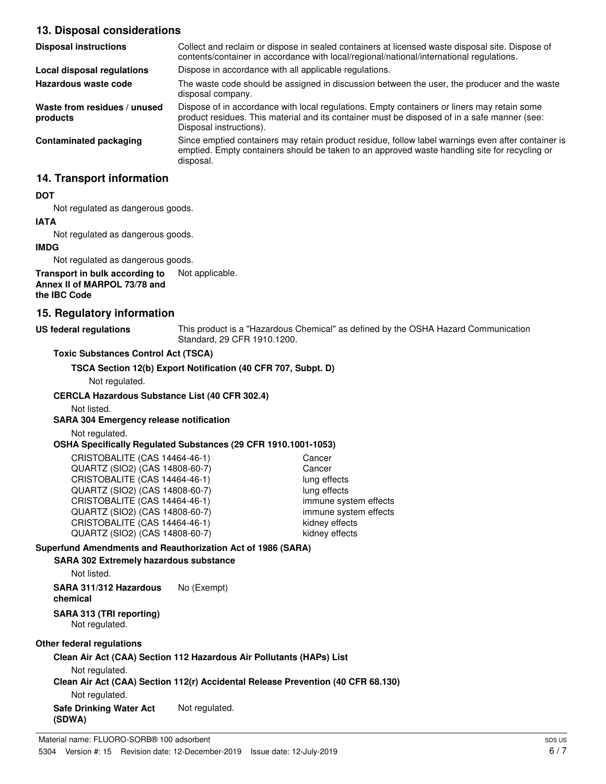### **13. Disposal considerations**

| <b>Disposal instructions</b>             | Collect and reclaim or dispose in sealed containers at licensed waste disposal site. Dispose of<br>contents/container in accordance with local/regional/national/international regulations.                            |
|------------------------------------------|------------------------------------------------------------------------------------------------------------------------------------------------------------------------------------------------------------------------|
| Local disposal regulations               | Dispose in accordance with all applicable regulations.                                                                                                                                                                 |
| Hazardous waste code                     | The waste code should be assigned in discussion between the user, the producer and the waste<br>disposal company.                                                                                                      |
| Waste from residues / unused<br>products | Dispose of in accordance with local regulations. Empty containers or liners may retain some<br>product residues. This material and its container must be disposed of in a safe manner (see:<br>Disposal instructions). |
| Contaminated packaging                   | Since emptied containers may retain product residue, follow label warnings even after container is<br>emptied. Empty containers should be taken to an approved waste handling site for recycling or<br>disposal.       |

### **14. Transport information**

#### **DOT**

Not regulated as dangerous goods.

# **IATA**

Not regulated as dangerous goods.

### **IMDG**

Not regulated as dangerous goods.

#### **Transport in bulk according to** Not applicable. **Annex II of MARPOL 73/78 and the IBC Code**

# **15. Regulatory information**

### **US federal regulations**

This product is a "Hazardous Chemical" as defined by the OSHA Hazard Communication Standard, 29 CFR 1910.1200.

### **Toxic Substances Control Act (TSCA)**

**TSCA Section 12(b) Export Notification (40 CFR 707, Subpt. D)**

Not regulated.

### **CERCLA Hazardous Substance List (40 CFR 302.4)**

Not listed.

### **SARA 304 Emergency release notification**

Not regulated.

#### **OSHA Specifically Regulated Substances (29 CFR 1910.1001-1053)**

| CRISTOBALITE (CAS 14464-46-1)  | Cancer                |
|--------------------------------|-----------------------|
| QUARTZ (SIO2) (CAS 14808-60-7) | Cancer                |
| CRISTOBALITE (CAS 14464-46-1)  | lung effects          |
| QUARTZ (SIO2) (CAS 14808-60-7) | lung effects          |
| CRISTOBALITE (CAS 14464-46-1)  | immune system effects |
| QUARTZ (SIO2) (CAS 14808-60-7) | immune system effects |
| CRISTOBALITE (CAS 14464-46-1)  | kidney effects        |
| QUARTZ (SIO2) (CAS 14808-60-7) | kidney effects        |

### **Superfund Amendments and Reauthorization Act of 1986 (SARA)**

#### **SARA 302 Extremely hazardous substance**

Not listed.

**SARA 311/312 Hazardous** No (Exempt) **chemical**

# **SARA 313 (TRI reporting)**

Not regulated.

### **Other federal regulations**

### **Clean Air Act (CAA) Section 112 Hazardous Air Pollutants (HAPs) List**

Not regulated.

### **Clean Air Act (CAA) Section 112(r) Accidental Release Prevention (40 CFR 68.130)**

Not regulated.

**Safe Drinking Water Act** Not regulated. **(SDWA)**